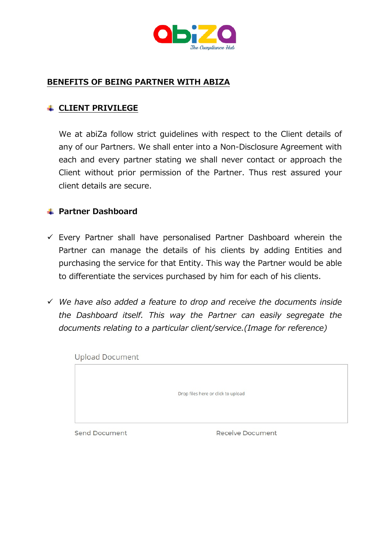

# **BENEFITS OF BEING PARTNER WITH ABIZA**

## **CLIENT PRIVILEGE**

We at abiZa follow strict guidelines with respect to the Client details of any of our Partners. We shall enter into a Non-Disclosure Agreement with each and every partner stating we shall never contact or approach the Client without prior permission of the Partner. Thus rest assured your client details are secure.

## **Partner Dashboard**

- $\checkmark$  Every Partner shall have personalised Partner Dashboard wherein the Partner can manage the details of his clients by adding Entities and purchasing the service for that Entity. This way the Partner would be able to differentiate the services purchased by him for each of his clients.
- *We have also added a feature to drop and receive the documents inside the Dashboard itself. This way the Partner can easily segregate the documents relating to a particular client/service.(Image for reference)*

**Upload Document** Drop files here or click to upload **Send Document Receive Document**